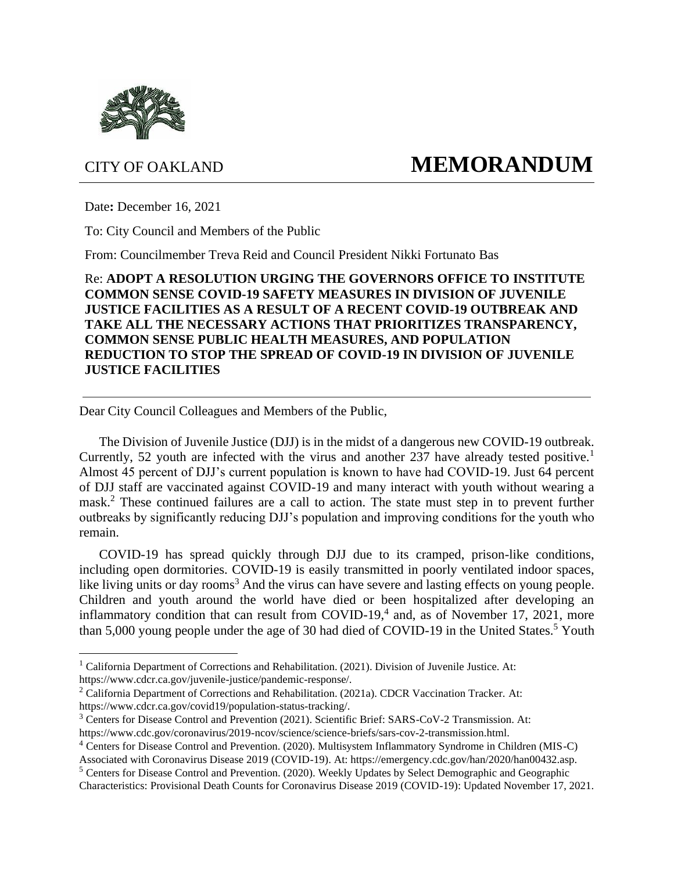

## CITY OF OAKLAND **MEMORANDUM**

Date**:** December 16, 2021

To: City Council and Members of the Public

From: Councilmember Treva Reid and Council President Nikki Fortunato Bas

Re: **ADOPT A RESOLUTION URGING THE GOVERNORS OFFICE TO INSTITUTE COMMON SENSE COVID-19 SAFETY MEASURES IN DIVISION OF JUVENILE JUSTICE FACILITIES AS A RESULT OF A RECENT COVID-19 OUTBREAK AND TAKE ALL THE NECESSARY ACTIONS THAT PRIORITIZES TRANSPARENCY, COMMON SENSE PUBLIC HEALTH MEASURES, AND POPULATION REDUCTION TO STOP THE SPREAD OF COVID-19 IN DIVISION OF JUVENILE JUSTICE FACILITIES**

Dear City Council Colleagues and Members of the Public,

The Division of Juvenile Justice (DJJ) is in the midst of a dangerous new COVID-19 outbreak. Currently, 52 youth are infected with the virus and another 237 have already tested positive.<sup>1</sup> Almost 45 percent of DJJ's current population is known to have had COVID-19. Just 64 percent of DJJ staff are vaccinated against COVID-19 and many interact with youth without wearing a mask.<sup>2</sup> These continued failures are a call to action. The state must step in to prevent further outbreaks by significantly reducing DJJ's population and improving conditions for the youth who remain.

COVID-19 has spread quickly through DJJ due to its cramped, prison-like conditions, including open dormitories. COVID-19 is easily transmitted in poorly ventilated indoor spaces, like living units or day rooms<sup>3</sup> And the virus can have severe and lasting effects on young people. Children and youth around the world have died or been hospitalized after developing an inflammatory condition that can result from COVID-19, $4$  and, as of November 17, 2021, more than 5,000 young people under the age of 30 had died of COVID-19 in the United States.<sup>5</sup> Youth

<sup>&</sup>lt;sup>1</sup> California Department of Corrections and Rehabilitation. (2021). Division of Juvenile Justice. At: https://www.cdcr.ca.gov/juvenile-justice/pandemic-response/.

<sup>2</sup> California Department of Corrections and Rehabilitation. (2021a). CDCR Vaccination Tracker. At: https://www.cdcr.ca.gov/covid19/population-status-tracking/.

<sup>&</sup>lt;sup>3</sup> Centers for Disease Control and Prevention (2021). Scientific Brief: SARS-CoV-2 Transmission. At: https://www.cdc.gov/coronavirus/2019-ncov/science/science-briefs/sars-cov-2-transmission.html.

<sup>4</sup> Centers for Disease Control and Prevention. (2020). Multisystem Inflammatory Syndrome in Children (MIS-C) Associated with Coronavirus Disease 2019 (COVID-19). At: https://emergency.cdc.gov/han/2020/han00432.asp.

<sup>5</sup> Centers for Disease Control and Prevention. (2020). Weekly Updates by Select Demographic and Geographic

Characteristics: Provisional Death Counts for Coronavirus Disease 2019 (COVID-19): Updated November 17, 2021.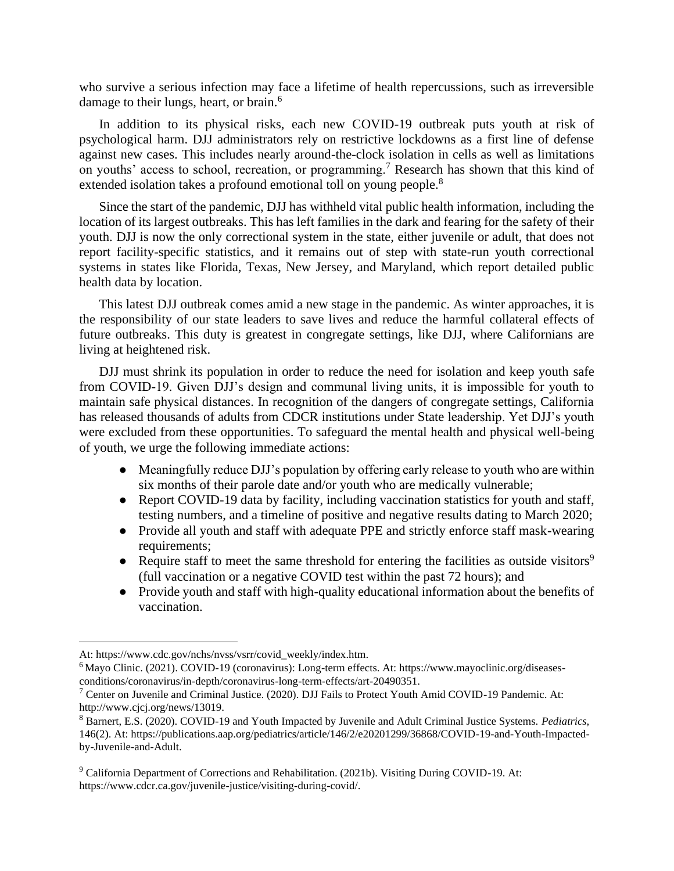who survive a serious infection may face a lifetime of health repercussions, such as irreversible damage to their lungs, heart, or brain.<sup>6</sup>

In addition to its physical risks, each new COVID-19 outbreak puts youth at risk of psychological harm. DJJ administrators rely on restrictive lockdowns as a first line of defense against new cases. This includes nearly around-the-clock isolation in cells as well as limitations on youths' access to school, recreation, or programming.<sup>7</sup> Research has shown that this kind of extended isolation takes a profound emotional toll on young people.<sup>8</sup>

Since the start of the pandemic, DJJ has withheld vital public health information, including the location of its largest outbreaks. This has left families in the dark and fearing for the safety of their youth. DJJ is now the only correctional system in the state, either juvenile or adult, that does not report facility-specific statistics, and it remains out of step with state-run youth correctional systems in states like Florida, Texas, New Jersey, and Maryland, which report detailed public health data by location.

This latest DJJ outbreak comes amid a new stage in the pandemic. As winter approaches, it is the responsibility of our state leaders to save lives and reduce the harmful collateral effects of future outbreaks. This duty is greatest in congregate settings, like DJJ, where Californians are living at heightened risk.

DJJ must shrink its population in order to reduce the need for isolation and keep youth safe from COVID-19. Given DJJ's design and communal living units, it is impossible for youth to maintain safe physical distances. In recognition of the dangers of congregate settings, California has released thousands of adults from CDCR institutions under State leadership. Yet DJJ's youth were excluded from these opportunities. To safeguard the mental health and physical well-being of youth, we urge the following immediate actions:

- Meaningfully reduce DJJ's population by offering early release to youth who are within six months of their parole date and/or youth who are medically vulnerable;
- Report COVID-19 data by facility, including vaccination statistics for youth and staff, testing numbers, and a timeline of positive and negative results dating to March 2020;
- Provide all youth and staff with adequate PPE and strictly enforce staff mask-wearing requirements:
- Require staff to meet the same threshold for entering the facilities as outside visitors<sup>9</sup> (full vaccination or a negative COVID test within the past 72 hours); and
- Provide youth and staff with high-quality educational information about the benefits of vaccination.

At: https://www.cdc.gov/nchs/nvss/vsrr/covid\_weekly/index.htm.

<sup>6</sup> Mayo Clinic. (2021). COVID-19 (coronavirus): Long-term effects. At: https://www.mayoclinic.org/diseasesconditions/coronavirus/in-depth/coronavirus-long-term-effects/art-20490351.

<sup>7</sup> Center on Juvenile and Criminal Justice. (2020). DJJ Fails to Protect Youth Amid COVID-19 Pandemic. At: http://www.cjcj.org/news/13019.

<sup>8</sup> Barnert, E.S. (2020). COVID-19 and Youth Impacted by Juvenile and Adult Criminal Justice Systems. *Pediatrics*, 146(2). At: https://publications.aap.org/pediatrics/article/146/2/e20201299/36868/COVID-19-and-Youth-Impactedby-Juvenile-and-Adult.

<sup>&</sup>lt;sup>9</sup> California Department of Corrections and Rehabilitation. (2021b). Visiting During COVID-19. At: https://www.cdcr.ca.gov/juvenile-justice/visiting-during-covid/.